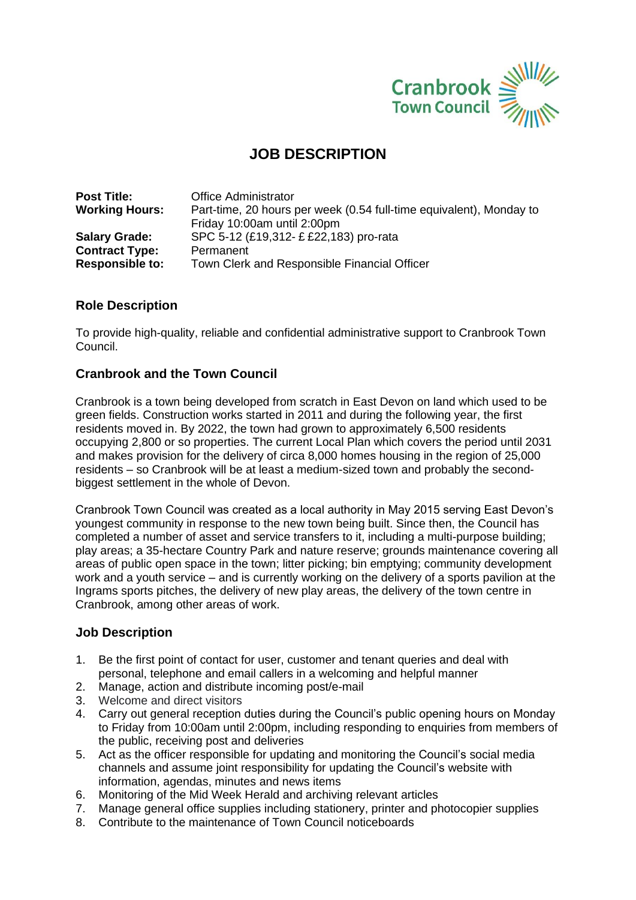

## **JOB DESCRIPTION**

| <b>Post Title:</b>     | <b>Office Administrator</b>                                         |  |
|------------------------|---------------------------------------------------------------------|--|
| <b>Working Hours:</b>  | Part-time, 20 hours per week (0.54 full-time equivalent), Monday to |  |
|                        | Friday 10:00am until 2:00pm                                         |  |
| <b>Salary Grade:</b>   | SPC 5-12 (£19,312- £ £22,183) pro-rata                              |  |
| <b>Contract Type:</b>  | Permanent                                                           |  |
| <b>Responsible to:</b> | Town Clerk and Responsible Financial Officer                        |  |

### **Role Description**

To provide high-quality, reliable and confidential administrative support to Cranbrook Town Council.

### **Cranbrook and the Town Council**

Cranbrook is a town being developed from scratch in East Devon on land which used to be green fields. Construction works started in 2011 and during the following year, the first residents moved in. By 2022, the town had grown to approximately 6,500 residents occupying 2,800 or so properties. The current Local Plan which covers the period until 2031 and makes provision for the delivery of circa 8,000 homes housing in the region of 25,000 residents – so Cranbrook will be at least a medium-sized town and probably the secondbiggest settlement in the whole of Devon.

Cranbrook Town Council was created as a local authority in May 2015 serving East Devon's youngest community in response to the new town being built. Since then, the Council has completed a number of asset and service transfers to it, including a multi-purpose building; play areas; a 35-hectare Country Park and nature reserve; grounds maintenance covering all areas of public open space in the town; litter picking; bin emptying; community development work and a youth service – and is currently working on the delivery of a sports pavilion at the Ingrams sports pitches, the delivery of new play areas, the delivery of the town centre in Cranbrook, among other areas of work.

#### **Job Description**

- 1. Be the first point of contact for user, customer and tenant queries and deal with personal, telephone and email callers in a welcoming and helpful manner
- 2. Manage, action and distribute incoming post/e-mail
- 3. Welcome and direct visitors
- 4. Carry out general reception duties during the Council's public opening hours on Monday to Friday from 10:00am until 2:00pm, including responding to enquiries from members of the public, receiving post and deliveries
- 5. Act as the officer responsible for updating and monitoring the Council's social media channels and assume joint responsibility for updating the Council's website with information, agendas, minutes and news items
- 6. Monitoring of the Mid Week Herald and archiving relevant articles
- 7. Manage general office supplies including stationery, printer and photocopier supplies
- 8. Contribute to the maintenance of Town Council noticeboards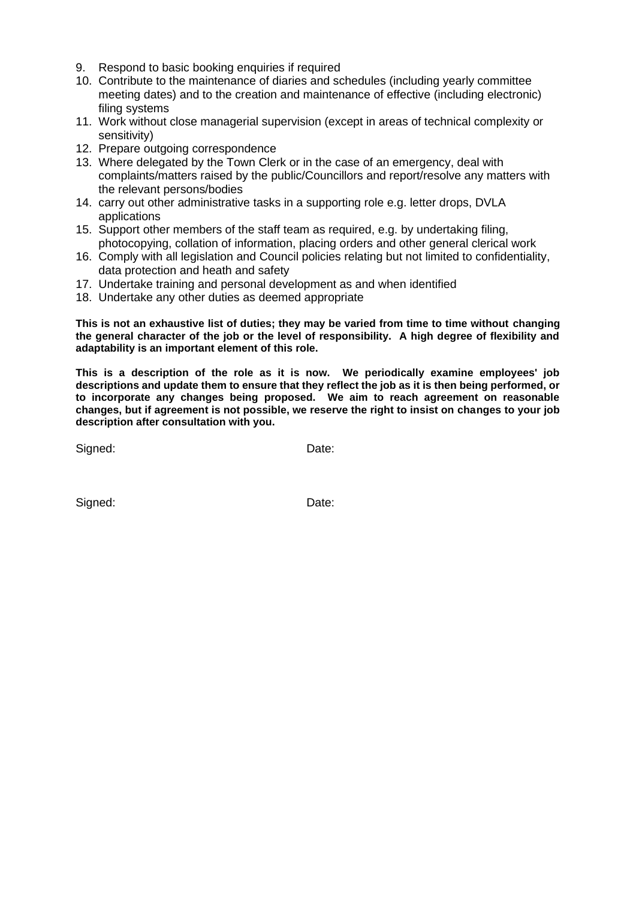- 9. Respond to basic booking enquiries if required
- 10. Contribute to the maintenance of diaries and schedules (including yearly committee meeting dates) and to the creation and maintenance of effective (including electronic) filing systems
- 11. Work without close managerial supervision (except in areas of technical complexity or sensitivity)
- 12. Prepare outgoing correspondence
- 13. Where delegated by the Town Clerk or in the case of an emergency, deal with complaints/matters raised by the public/Councillors and report/resolve any matters with the relevant persons/bodies
- 14. carry out other administrative tasks in a supporting role e.g. letter drops, DVLA applications
- 15. Support other members of the staff team as required, e.g. by undertaking filing, photocopying, collation of information, placing orders and other general clerical work
- 16. Comply with all legislation and Council policies relating but not limited to confidentiality, data protection and heath and safety
- 17. Undertake training and personal development as and when identified
- 18. Undertake any other duties as deemed appropriate

**This is not an exhaustive list of duties; they may be varied from time to time without changing the general character of the job or the level of responsibility. A high degree of flexibility and adaptability is an important element of this role.**

**This is a description of the role as it is now. We periodically examine employees' job descriptions and update them to ensure that they reflect the job as it is then being performed, or to incorporate any changes being proposed. We aim to reach agreement on reasonable changes, but if agreement is not possible, we reserve the right to insist on changes to your job description after consultation with you.**

Signed: Date:

Signed: Date: